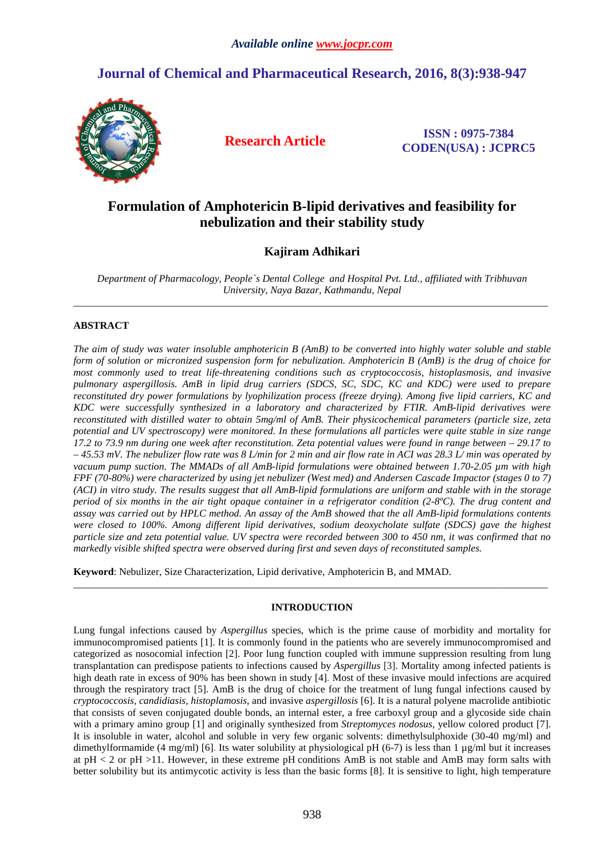# **Journal of Chemical and Pharmaceutical Research, 2016, 8(3):938-947**



**Research Article ISSN : 0975-7384 CODEN(USA) : JCPRC5**

# **Formulation of Amphotericin B-lipid derivatives and feasibility for nebulization and their stability study**

# **Kajiram Adhikari**

*Department of Pharmacology, People`s Dental College and Hospital Pvt. Ltd., affiliated with Tribhuvan University, Naya Bazar, Kathmandu, Nepal*   $\overline{a}$  , and the contribution of the contribution of the contribution of the contribution of the contribution of the contribution of the contribution of the contribution of the contribution of the contribution of the co

# **ABSTRACT**

*The aim of study was water insoluble amphotericin B (AmB) to be converted into highly water soluble and stable form of solution or micronized suspension form for nebulization. Amphotericin B (AmB) is the drug of choice for most commonly used to treat life-threatening conditions such as cryptococcosis, histoplasmosis, and invasive pulmonary aspergillosis. AmB in lipid drug carriers (SDCS, SC, SDC, KC and KDC) were used to prepare reconstituted dry power formulations by lyophilization process (freeze drying). Among five lipid carriers, KC and KDC were successfully synthesized in a laboratory and characterized by FTIR. AmB-lipid derivatives were reconstituted with distilled water to obtain 5mg/ml of AmB. Their physicochemical parameters (particle size, zeta potential and UV spectroscopy) were monitored. In these formulations all particles were quite stable in size range 17.2 to 73.9 nm during one week after reconstitution. Zeta potential values were found in range between – 29.17 to – 45.53 mV. The nebulizer flow rate was 8 L/min for 2 min and air flow rate in ACI was 28.3 L/ min was operated by vacuum pump suction. The MMADs of all AmB-lipid formulations were obtained between 1.70-2.05 µm with high FPF (70-80%) were characterized by using jet nebulizer (West med) and Andersen Cascade Impactor (stages 0 to 7) (ACI) in vitro study. The results suggest that all AmB-lipid formulations are uniform and stable with in the storage period of six months in the air tight opaque container in a refrigerator condition (2-8ºC). The drug content and assay was carried out by HPLC method. An assay of the AmB showed that the all AmB-lipid formulations contents were closed to 100%. Among different lipid derivatives, sodium deoxycholate sulfate (SDCS) gave the highest particle size and zeta potential value. UV spectra were recorded between 300 to 450 nm, it was confirmed that no markedly visible shifted spectra were observed during first and seven days of reconstituted samples.* 

**Keyword**: Nebulizer, Size Characterization, Lipid derivative, Amphotericin B, and MMAD.

# **INTRODUCTION**

\_\_\_\_\_\_\_\_\_\_\_\_\_\_\_\_\_\_\_\_\_\_\_\_\_\_\_\_\_\_\_\_\_\_\_\_\_\_\_\_\_\_\_\_\_\_\_\_\_\_\_\_\_\_\_\_\_\_\_\_\_\_\_\_\_\_\_\_\_\_\_\_\_\_\_\_\_\_\_\_\_\_\_\_\_\_\_\_\_\_\_\_\_

Lung fungal infections caused by *Aspergillus* species, which is the prime cause of morbidity and mortality for immunocompromised patients [1]. It is commonly found in the patients who are severely immunocompromised and categorized as nosocomial infection [2]. Poor lung function coupled with immune suppression resulting from lung transplantation can predispose patients to infections caused by *Aspergillus* [3]. Mortality among infected patients is high death rate in excess of 90% has been shown in study [4]. Most of these invasive mould infections are acquired through the respiratory tract [5]. AmB is the drug of choice for the treatment of lung fungal infections caused by *cryptococcosis, candidiasis, histoplamosis*, and invasive *aspergillosis* [6]. It is a natural polyene macrolide antibiotic that consists of seven conjugated double bonds, an internal ester, a free carboxyl group and a glycoside side chain with a primary amino group [1] and originally synthesized from *Streptomyces nodosus,* yellow colored product [7]. It is insoluble in water, alcohol and soluble in very few organic solvents: dimethylsulphoxide (30-40 mg/ml) and dimethylformamide (4 mg/ml) [6]. Its water solubility at physiological pH (6-7) is less than 1  $\mu$ g/ml but it increases at  $pH < 2$  or  $pH > 11$ . However, in these extreme  $pH$  conditions AmB is not stable and AmB may form salts with better solubility but its antimycotic activity is less than the basic forms [8]. It is sensitive to light, high temperature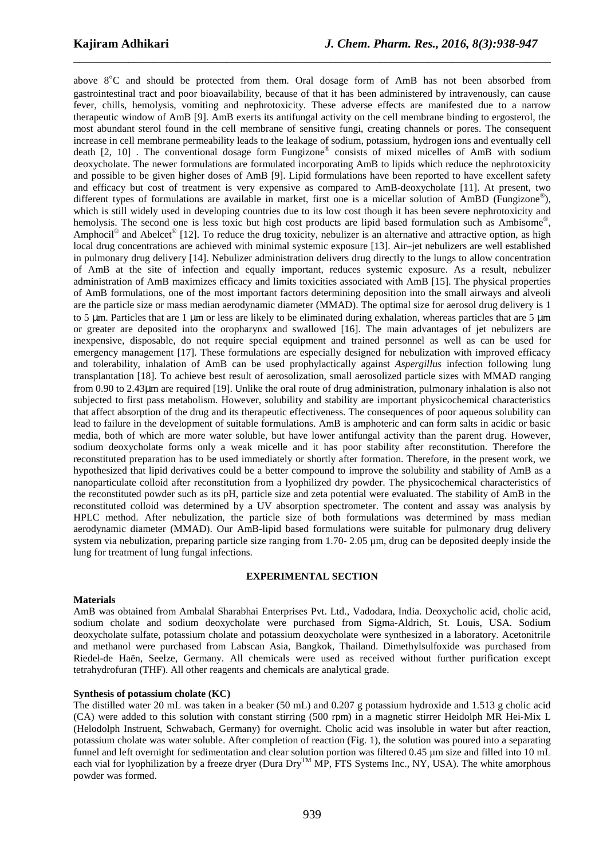above  $8^{\circ}$ C and should be protected from them. Oral dosage form of AmB has not been absorbed from gastrointestinal tract and poor bioavailability, because of that it has been administered by intravenously, can cause fever, chills, hemolysis, vomiting and nephrotoxicity. These adverse effects are manifested due to a narrow therapeutic window of AmB [9]. AmB exerts its antifungal activity on the cell membrane binding to ergosterol, the most abundant sterol found in the cell membrane of sensitive fungi, creating channels or pores. The consequent increase in cell membrane permeability leads to the leakage of sodium, potassium, hydrogen ions and eventually cell death [2, 10] . The conventional dosage form Fungizone® consists of mixed micelles of AmB with sodium deoxycholate. The newer formulations are formulated incorporating AmB to lipids which reduce the nephrotoxicity and possible to be given higher doses of AmB [9]. Lipid formulations have been reported to have excellent safety and efficacy but cost of treatment is very expensive as compared to AmB-deoxycholate [11]. At present, two different types of formulations are available in market, first one is a micellar solution of AmBD (Fungizone®), which is still widely used in developing countries due to its low cost though it has been severe nephrotoxicity and hemolysis. The second one is less toxic but high cost products are lipid based formulation such as Ambisome®, Amphocil<sup>®</sup> and Abelcet<sup>®</sup> [12]. To reduce the drug toxicity, nebulizer is an alternative and attractive option, as high local drug concentrations are achieved with minimal systemic exposure [13]. Air–jet nebulizers are well established in pulmonary drug delivery [14]. Nebulizer administration delivers drug directly to the lungs to allow concentration of AmB at the site of infection and equally important, reduces systemic exposure. As a result, nebulizer administration of AmB maximizes efficacy and limits toxicities associated with AmB [15]. The physical properties of AmB formulations, one of the most important factors determining deposition into the small airways and alveoli are the particle size or mass median aerodynamic diameter (MMAD). The optimal size for aerosol drug delivery is 1 to 5  $\mu$ m. Particles that are 1  $\mu$ m or less are likely to be eliminated during exhalation, whereas particles that are 5  $\mu$ m or greater are deposited into the oropharynx and swallowed [16]. The main advantages of jet nebulizers are inexpensive, disposable, do not require special equipment and trained personnel as well as can be used for emergency management [17]. These formulations are especially designed for nebulization with improved efficacy and tolerability, inhalation of AmB can be used prophylactically against *Aspergillus* infection following lung transplantation [18]. To achieve best result of aerosolization, small aerosolized particle sizes with MMAD ranging from 0.90 to 2.43µm are required [19]. Unlike the oral route of drug administration, pulmonary inhalation is also not subjected to first pass metabolism. However, solubility and stability are important physicochemical characteristics that affect absorption of the drug and its therapeutic effectiveness. The consequences of poor aqueous solubility can lead to failure in the development of suitable formulations. AmB is amphoteric and can form salts in acidic or basic media, both of which are more water soluble, but have lower antifungal activity than the parent drug. However, sodium deoxycholate forms only a weak micelle and it has poor stability after reconstitution. Therefore the reconstituted preparation has to be used immediately or shortly after formation. Therefore, in the present work, we hypothesized that lipid derivatives could be a better compound to improve the solubility and stability of AmB as a nanoparticulate colloid after reconstitution from a lyophilized dry powder. The physicochemical characteristics of the reconstituted powder such as its pH, particle size and zeta potential were evaluated. The stability of AmB in the reconstituted colloid was determined by a UV absorption spectrometer. The content and assay was analysis by HPLC method. After nebulization, the particle size of both formulations was determined by mass median aerodynamic diameter (MMAD). Our AmB-lipid based formulations were suitable for pulmonary drug delivery system via nebulization, preparing particle size ranging from 1.70- 2.05  $\mu$ m, drug can be deposited deeply inside the lung for treatment of lung fungal infections.

\_\_\_\_\_\_\_\_\_\_\_\_\_\_\_\_\_\_\_\_\_\_\_\_\_\_\_\_\_\_\_\_\_\_\_\_\_\_\_\_\_\_\_\_\_\_\_\_\_\_\_\_\_\_\_\_\_\_\_\_\_\_\_\_\_\_\_\_\_\_\_\_\_\_\_\_\_\_

#### **EXPERIMENTAL SECTION**

# **Materials**

AmB was obtained from Ambalal Sharabhai Enterprises Pvt. Ltd., Vadodara, India. Deoxycholic acid, cholic acid, sodium cholate and sodium deoxycholate were purchased from Sigma-Aldrich, St. Louis, USA. Sodium deoxycholate sulfate, potassium cholate and potassium deoxycholate were synthesized in a laboratory. Acetonitrile and methanol were purchased from Labscan Asia, Bangkok, Thailand. Dimethylsulfoxide was purchased from Riedel-de Haën, Seelze, Germany. All chemicals were used as received without further purification except tetrahydrofuran (THF). All other reagents and chemicals are analytical grade.

#### **Synthesis of potassium cholate (KC)**

The distilled water 20 mL was taken in a beaker (50 mL) and 0.207 g potassium hydroxide and 1.513 g cholic acid (CA) were added to this solution with constant stirring (500 rpm) in a magnetic stirrer Heidolph MR Hei-Mix L (Helodolph Instruent, Schwabach, Germany) for overnight. Cholic acid was insoluble in water but after reaction, potassium cholate was water soluble. After completion of reaction (Fig. 1), the solution was poured into a separating funnel and left overnight for sedimentation and clear solution portion was filtered 0.45 µm size and filled into 10 mL each vial for lyophilization by a freeze dryer (Dura Dry<sup>TM</sup> MP, FTS Systems Inc., NY, USA). The white amorphous powder was formed.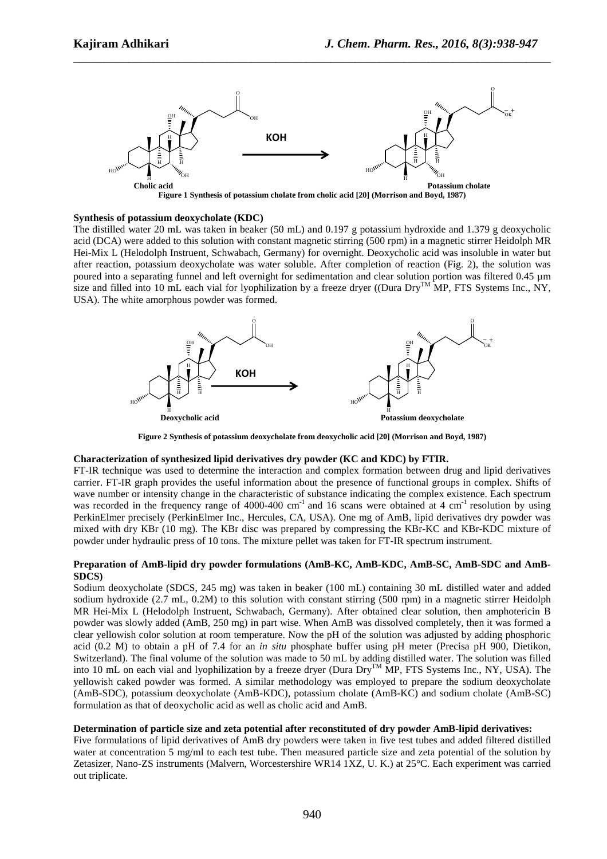

#### **Synthesis of potassium deoxycholate (KDC)**

The distilled water 20 mL was taken in beaker (50 mL) and 0.197 g potassium hydroxide and 1.379 g deoxycholic acid (DCA) were added to this solution with constant magnetic stirring (500 rpm) in a magnetic stirrer Heidolph MR Hei-Mix L (Helodolph Instruent, Schwabach, Germany) for overnight. Deoxycholic acid was insoluble in water but after reaction, potassium deoxycholate was water soluble. After completion of reaction (Fig. 2), the solution was poured into a separating funnel and left overnight for sedimentation and clear solution portion was filtered 0.45 µm size and filled into 10 mL each vial for lyophilization by a freeze dryer ((Dura Dry<sup>TM</sup> MP, FTS Systems Inc., NY, USA). The white amorphous powder was formed.



**Figure 2 Synthesis of potassium deoxycholate from deoxycholic acid [20] (Morrison and Boyd, 1987)** 

# **Characterization of synthesized lipid derivatives dry powder (KC and KDC) by FTIR.**

FT-IR technique was used to determine the interaction and complex formation between drug and lipid derivatives carrier. FT-IR graph provides the useful information about the presence of functional groups in complex. Shifts of wave number or intensity change in the characteristic of substance indicating the complex existence. Each spectrum was recorded in the frequency range of 4000-400 cm<sup>-1</sup> and 16 scans were obtained at 4 cm<sup>-1</sup> resolution by using PerkinElmer precisely (PerkinElmer Inc., Hercules, CA, USA). One mg of AmB, lipid derivatives dry powder was mixed with dry KBr (10 mg). The KBr disc was prepared by compressing the KBr-KC and KBr-KDC mixture of powder under hydraulic press of 10 tons. The mixture pellet was taken for FT-IR spectrum instrument.

#### **Preparation of AmB-lipid dry powder formulations (AmB-KC, AmB-KDC, AmB-SC, AmB-SDC and AmB-SDCS)**

Sodium deoxycholate (SDCS, 245 mg) was taken in beaker (100 mL) containing 30 mL distilled water and added sodium hydroxide (2.7 mL, 0.2M) to this solution with constant stirring (500 rpm) in a magnetic stirrer Heidolph MR Hei-Mix L (Helodolph Instruent, Schwabach, Germany). After obtained clear solution, then amphotericin B powder was slowly added (AmB, 250 mg) in part wise. When AmB was dissolved completely, then it was formed a clear yellowish color solution at room temperature. Now the pH of the solution was adjusted by adding phosphoric acid (0.2 M) to obtain a pH of 7.4 for an *in situ* phosphate buffer using pH meter (Precisa pH 900, Dietikon, Switzerland). The final volume of the solution was made to 50 mL by adding distilled water. The solution was filled into 10 mL on each vial and lyophilization by a freeze dryer (Dura Dry<sup>TM</sup> MP, FTS Systems Inc., NY, USA). The yellowish caked powder was formed. A similar methodology was employed to prepare the sodium deoxycholate (AmB-SDC), potassium deoxycholate (AmB-KDC), potassium cholate (AmB-KC) and sodium cholate (AmB-SC) formulation as that of deoxycholic acid as well as cholic acid and AmB.

# **Determination of particle size and zeta potential after reconstituted of dry powder AmB-lipid derivatives:**

Five formulations of lipid derivatives of AmB dry powders were taken in five test tubes and added filtered distilled water at concentration 5 mg/ml to each test tube. Then measured particle size and zeta potential of the solution by Zetasizer, Nano-ZS instruments (Malvern, Worcestershire WR14 1XZ, U. K.) at 25°C. Each experiment was carried out triplicate.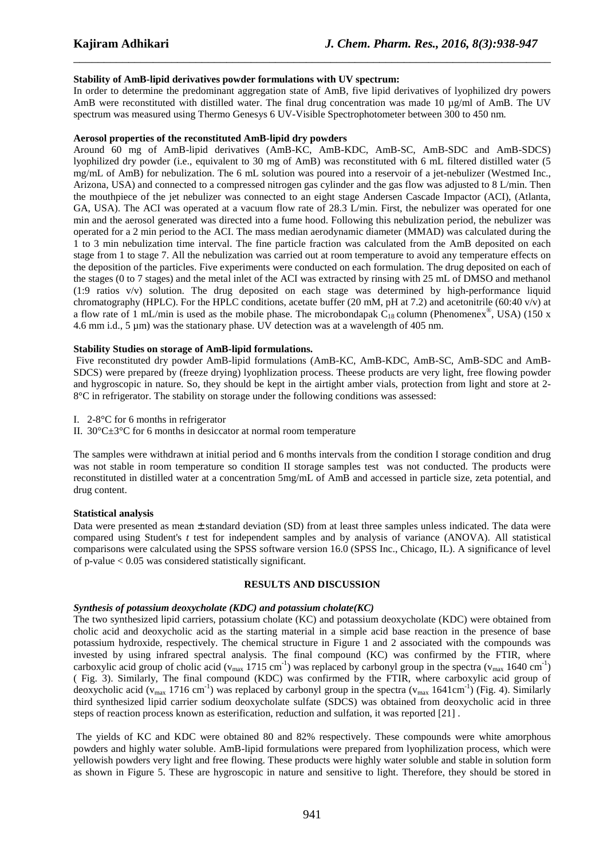# **Stability of AmB-lipid derivatives powder formulations with UV spectrum:**

In order to determine the predominant aggregation state of AmB, five lipid derivatives of lyophilized dry powers AmB were reconstituted with distilled water. The final drug concentration was made 10  $\mu$ g/ml of AmB. The UV spectrum was measured using Thermo Genesys 6 UV-Visible Spectrophotometer between 300 to 450 nm.

\_\_\_\_\_\_\_\_\_\_\_\_\_\_\_\_\_\_\_\_\_\_\_\_\_\_\_\_\_\_\_\_\_\_\_\_\_\_\_\_\_\_\_\_\_\_\_\_\_\_\_\_\_\_\_\_\_\_\_\_\_\_\_\_\_\_\_\_\_\_\_\_\_\_\_\_\_\_

#### **Aerosol properties of the reconstituted AmB-lipid dry powders**

Around 60 mg of AmB-lipid derivatives (AmB-KC, AmB-KDC, AmB-SC, AmB-SDC and AmB-SDCS) lyophilized dry powder (i.e., equivalent to 30 mg of AmB) was reconstituted with 6 mL filtered distilled water (5 mg/mL of AmB) for nebulization. The 6 mL solution was poured into a reservoir of a jet-nebulizer (Westmed Inc., Arizona, USA) and connected to a compressed nitrogen gas cylinder and the gas flow was adjusted to 8 L/min. Then the mouthpiece of the jet nebulizer was connected to an eight stage Andersen Cascade Impactor (ACI), (Atlanta, GA, USA). The ACI was operated at a vacuum flow rate of 28.3 L/min. First, the nebulizer was operated for one min and the aerosol generated was directed into a fume hood. Following this nebulization period, the nebulizer was operated for a 2 min period to the ACI. The mass median aerodynamic diameter (MMAD) was calculated during the 1 to 3 min nebulization time interval. The fine particle fraction was calculated from the AmB deposited on each stage from 1 to stage 7. All the nebulization was carried out at room temperature to avoid any temperature effects on the deposition of the particles. Five experiments were conducted on each formulation. The drug deposited on each of the stages (0 to 7 stages) and the metal inlet of the ACI was extracted by rinsing with 25 mL of DMSO and methanol (1:9 ratios v/v) solution. The drug deposited on each stage was determined by high-performance liquid chromatography (HPLC). For the HPLC conditions, acetate buffer (20 mM, pH at 7.2) and acetonitrile (60:40 v/v) at a flow rate of 1 mL/min is used as the mobile phase. The microbondapak  $C_{18}$  column (Phenomenex<sup>®</sup>, USA) (150 x 4.6 mm i.d., 5  $\mu$ m) was the stationary phase. UV detection was at a wavelength of 405 nm.

#### **Stability Studies on storage of AmB-lipid formulations.**

 Five reconstituted dry powder AmB-lipid formulations (AmB-KC, AmB-KDC, AmB-SC, AmB-SDC and AmB-SDCS) were prepared by (freeze drying) lyophlization process. Theese products are very light, free flowing powder and hygroscopic in nature. So, they should be kept in the airtight amber vials, protection from light and store at 2- 8°C in refrigerator. The stability on storage under the following conditions was assessed:

I. 2-8°C for 6 months in refrigerator

II.  $30^{\circ}$ C $\pm 3^{\circ}$ C for 6 months in desiccator at normal room temperature

The samples were withdrawn at initial period and 6 months intervals from the condition I storage condition and drug was not stable in room temperature so condition II storage samples test was not conducted. The products were reconstituted in distilled water at a concentration 5mg/mL of AmB and accessed in particle size, zeta potential, and drug content.

# **Statistical analysis**

Data were presented as mean ± standard deviation (SD) from at least three samples unless indicated. The data were compared using Student's *t* test for independent samples and by analysis of variance (ANOVA). All statistical comparisons were calculated using the SPSS software version 16.0 (SPSS Inc., Chicago, IL). A significance of level of p-value < 0.05 was considered statistically significant.

# **RESULTS AND DISCUSSION**

# *Synthesis of potassium deoxycholate (KDC) and potassium cholate(KC)*

The two synthesized lipid carriers, potassium cholate (KC) and potassium deoxycholate (KDC) were obtained from cholic acid and deoxycholic acid as the starting material in a simple acid base reaction in the presence of base potassium hydroxide, respectively. The chemical structure in Figure 1 and 2 associated with the compounds was invested by using infrared spectral analysis. The final compound (KC) was confirmed by the FTIR, where carboxylic acid group of cholic acid ( $v_{\text{max}}$  1715 cm<sup>-1</sup>) was replaced by carbonyl group in the spectra ( $v_{\text{max}}$  1640 cm<sup>-1</sup>) ( Fig. 3). Similarly, The final compound (KDC) was confirmed by the FTIR, where carboxylic acid group of deoxycholic acid ( $v_{\text{max}}$  1716 cm<sup>-1</sup>) was replaced by carbonyl group in the spectra ( $v_{\text{max}}$  1641cm<sup>-1</sup>) (Fig. 4). Similarly third synthesized lipid carrier sodium deoxycholate sulfate (SDCS) was obtained from deoxycholic acid in three steps of reaction process known as esterification, reduction and sulfation, it was reported [21] .

 The yields of KC and KDC were obtained 80 and 82% respectively. These compounds were white amorphous powders and highly water soluble. AmB-lipid formulations were prepared from lyophilization process, which were yellowish powders very light and free flowing. These products were highly water soluble and stable in solution form as shown in Figure 5. These are hygroscopic in nature and sensitive to light. Therefore, they should be stored in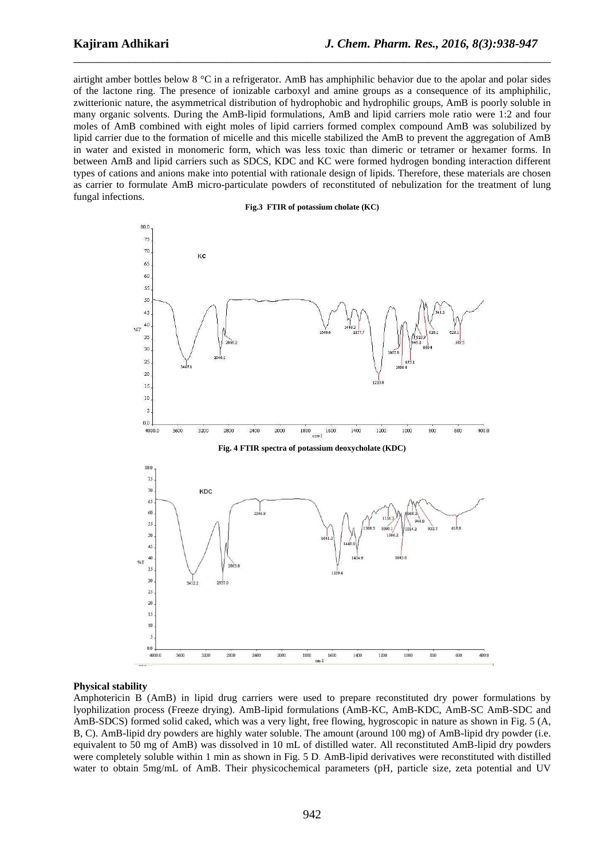airtight amber bottles below 8 °C in a refrigerator. AmB has amphiphilic behavior due to the apolar and polar sides of the lactone ring. The presence of ionizable carboxyl and amine groups as a consequence of its amphiphilic, zwitterionic nature, the asymmetrical distribution of hydrophobic and hydrophilic groups, AmB is poorly soluble in many organic solvents. During the AmB-lipid formulations, AmB and lipid carriers mole ratio were 1:2 and four moles of AmB combined with eight moles of lipid carriers formed complex compound AmB was solubilized by lipid carrier due to the formation of micelle and this micelle stabilized the AmB to prevent the aggregation of AmB in water and existed in monomeric form, which was less toxic than dimeric or tetramer or hexamer forms. In between AmB and lipid carriers such as SDCS, KDC and KC were formed hydrogen bonding interaction different types of cations and anions make into potential with rationale design of lipids. Therefore, these materials are chosen as carrier to formulate AmB micro-particulate powders of reconstituted of nebulization for the treatment of lung fungal infections.

\_\_\_\_\_\_\_\_\_\_\_\_\_\_\_\_\_\_\_\_\_\_\_\_\_\_\_\_\_\_\_\_\_\_\_\_\_\_\_\_\_\_\_\_\_\_\_\_\_\_\_\_\_\_\_\_\_\_\_\_\_\_\_\_\_\_\_\_\_\_\_\_\_\_\_\_\_\_



#### **Physical stability**

Amphotericin B (AmB) in lipid drug carriers were used to prepare reconstituted dry power formulations by lyophilization process (Freeze drying). AmB-lipid formulations (AmB-KC, AmB-KDC, AmB-SC AmB-SDC and AmB-SDCS) formed solid caked, which was a very light, free flowing, hygroscopic in nature as shown in Fig. 5 (A, B, C). AmB-lipid dry powders are highly water soluble. The amount (around 100 mg) of AmB-lipid dry powder (i.e. equivalent to 50 mg of AmB) was dissolved in 10 mL of distilled water. All reconstituted AmB-lipid dry powders were completely soluble within 1 min as shown in Fig. 5 D. AmB-lipid derivatives were reconstituted with distilled water to obtain 5mg/mL of AmB. Their physicochemical parameters (pH, particle size, zeta potential and UV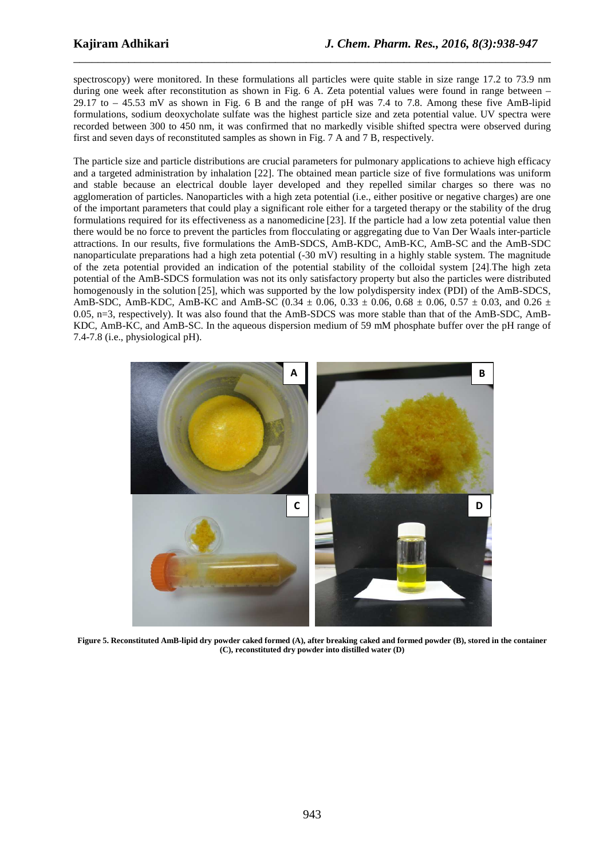spectroscopy) were monitored. In these formulations all particles were quite stable in size range 17.2 to 73.9 nm during one week after reconstitution as shown in Fig. 6 A. Zeta potential values were found in range between – 29.17 to – 45.53 mV as shown in Fig. 6 B and the range of pH was 7.4 to 7.8. Among these five AmB-lipid formulations, sodium deoxycholate sulfate was the highest particle size and zeta potential value. UV spectra were recorded between 300 to 450 nm, it was confirmed that no markedly visible shifted spectra were observed during first and seven days of reconstituted samples as shown in Fig. 7 A and 7 B, respectively.

\_\_\_\_\_\_\_\_\_\_\_\_\_\_\_\_\_\_\_\_\_\_\_\_\_\_\_\_\_\_\_\_\_\_\_\_\_\_\_\_\_\_\_\_\_\_\_\_\_\_\_\_\_\_\_\_\_\_\_\_\_\_\_\_\_\_\_\_\_\_\_\_\_\_\_\_\_\_

The particle size and particle distributions are crucial parameters for pulmonary applications to achieve high efficacy and a targeted administration by inhalation [22]. The obtained mean particle size of five formulations was uniform and stable because an electrical double layer developed and they repelled similar charges so there was no agglomeration of particles. Nanoparticles with a high zeta potential (i.e., either positive or negative charges) are one of the important parameters that could play a significant role either for a targeted therapy or the stability of the drug formulations required for its effectiveness as a nanomedicine [23]. If the particle had a low zeta potential value then there would be no force to prevent the particles from flocculating or aggregating due to Van Der Waals inter-particle attractions. In our results, five formulations the AmB-SDCS, AmB-KDC, AmB-KC, AmB-SC and the AmB-SDC nanoparticulate preparations had a high zeta potential (-30 mV) resulting in a highly stable system. The magnitude of the zeta potential provided an indication of the potential stability of the colloidal system [24].The high zeta potential of the AmB-SDCS formulation was not its only satisfactory property but also the particles were distributed homogenously in the solution [25], which was supported by the low polydispersity index (PDI) of the AmB-SDCS, AmB-SDC, AmB-KDC, AmB-KC and AmB-SC (0.34  $\pm$  0.06, 0.33  $\pm$  0.06, 0.68  $\pm$  0.06, 0.57  $\pm$  0.03, and 0.26  $\pm$ 0.05, n=3, respectively). It was also found that the AmB-SDCS was more stable than that of the AmB-SDC, AmB-KDC, AmB-KC, and AmB-SC. In the aqueous dispersion medium of 59 mM phosphate buffer over the pH range of 7.4-7.8 (i.e., physiological pH).



**Figure 5. Reconstituted AmB-lipid dry powder caked formed (A), after breaking caked and formed powder (B), stored in the container (C), reconstituted dry powder into distilled water (D)**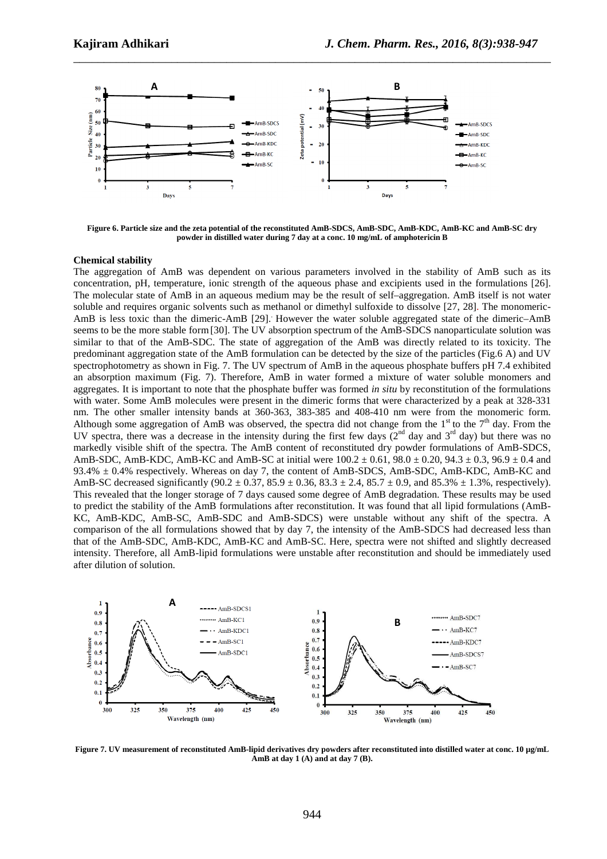

**Figure 6. Particle size and the zeta potential of the reconstituted AmB-SDCS, AmB-SDC, AmB-KDC, AmB-KC and AmB-SC dry powder in distilled water during 7 day at a conc. 10 mg/mL of amphotericin B** 

#### **Chemical stability**

The aggregation of AmB was dependent on various parameters involved in the stability of AmB such as its concentration, pH, temperature, ionic strength of the aqueous phase and excipients used in the formulations [26]. The molecular state of AmB in an aqueous medium may be the result of self–aggregation. AmB itself is not water soluble and requires organic solvents such as methanol or dimethyl sulfoxide to dissolve [27, 28]. The monomeric-AmB is less toxic than the dimeric-AmB [29]. However the water soluble aggregated state of the dimeric–AmB seems to be the more stable form[30]. The UV absorption spectrum of the AmB-SDCS nanoparticulate solution was similar to that of the AmB-SDC. The state of aggregation of the AmB was directly related to its toxicity. The predominant aggregation state of the AmB formulation can be detected by the size of the particles (Fig.6 A) and UV spectrophotometry as shown in Fig. 7. The UV spectrum of AmB in the aqueous phosphate buffers pH 7.4 exhibited an absorption maximum (Fig. 7). Therefore, AmB in water formed a mixture of water soluble monomers and aggregates. It is important to note that the phosphate buffer was formed *in situ* by reconstitution of the formulations with water. Some AmB molecules were present in the dimeric forms that were characterized by a peak at 328-331 nm. The other smaller intensity bands at 360-363, 383-385 and 408-410 nm were from the monomeric form. Although some aggregation of AmB was observed, the spectra did not change from the  $1<sup>st</sup>$  to the  $7<sup>th</sup>$  day. From the UV spectra, there was a decrease in the intensity during the first few days  $(2^{nd}$  day and  $3^{rd}$  day) but there was no markedly visible shift of the spectra. The AmB content of reconstituted dry powder formulations of AmB-SDCS, AmB-SDC, AmB-KDC, AmB-KC and AmB-SC at initial were  $100.2 \pm 0.61$ ,  $98.0 \pm 0.20$ ,  $94.3 \pm 0.3$ ,  $96.9 \pm 0.4$  and 93.4% ± 0.4% respectively. Whereas on day 7, the content of AmB-SDCS, AmB-SDC, AmB-KDC, AmB-KC and AmB-SC decreased significantly  $(90.2 \pm 0.37, 85.9 \pm 0.36, 83.3 \pm 2.4, 85.7 \pm 0.9,$  and 85.3%  $\pm$  1.3%, respectively). This revealed that the longer storage of 7 days caused some degree of AmB degradation. These results may be used to predict the stability of the AmB formulations after reconstitution. It was found that all lipid formulations (AmB-KC, AmB-KDC, AmB-SC, AmB-SDC and AmB-SDCS) were unstable without any shift of the spectra. A comparison of the all formulations showed that by day 7, the intensity of the AmB-SDCS had decreased less than that of the AmB-SDC, AmB-KDC, AmB-KC and AmB-SC. Here, spectra were not shifted and slightly decreased intensity. Therefore, all AmB-lipid formulations were unstable after reconstitution and should be immediately used after dilution of solution.



Figure 7. UV measurement of reconstituted AmB-lipid derivatives dry powders after reconstituted into distilled water at conc. 10 µg/mL **AmB at day 1 (A) and at day 7 (B).**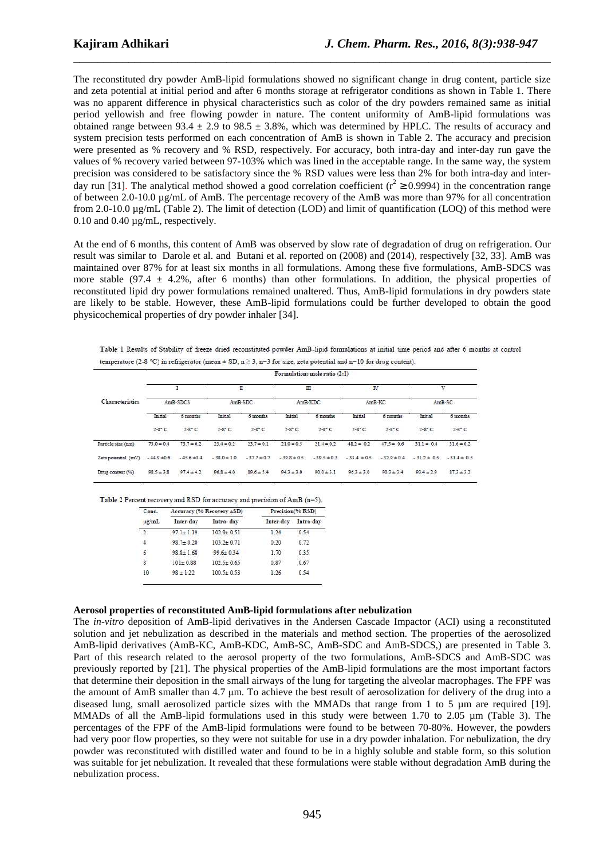The reconstituted dry powder AmB-lipid formulations showed no significant change in drug content, particle size and zeta potential at initial period and after 6 months storage at refrigerator conditions as shown in Table 1. There was no apparent difference in physical characteristics such as color of the dry powders remained same as initial period yellowish and free flowing powder in nature. The content uniformity of AmB-lipid formulations was obtained range between 93.4  $\pm$  2.9 to 98.5  $\pm$  3.8%, which was determined by HPLC. The results of accuracy and system precision tests performed on each concentration of AmB is shown in Table 2. The accuracy and precision were presented as % recovery and % RSD, respectively. For accuracy, both intra-day and inter-day run gave the values of % recovery varied between 97-103% which was lined in the acceptable range. In the same way, the system precision was considered to be satisfactory since the % RSD values were less than 2% for both intra-day and interday run [31]. The analytical method showed a good correlation coefficient ( $r^2 \ge 0.9994$ ) in the concentration range of between 2.0-10.0 µg/mL of AmB. The percentage recovery of the AmB was more than 97% for all concentration from 2.0-10.0 µg/mL (Table 2). The limit of detection (LOD) and limit of quantification (LOQ) of this method were 0.10 and 0.40 µg/mL, respectively.

\_\_\_\_\_\_\_\_\_\_\_\_\_\_\_\_\_\_\_\_\_\_\_\_\_\_\_\_\_\_\_\_\_\_\_\_\_\_\_\_\_\_\_\_\_\_\_\_\_\_\_\_\_\_\_\_\_\_\_\_\_\_\_\_\_\_\_\_\_\_\_\_\_\_\_\_\_\_

At the end of 6 months, this content of AmB was observed by slow rate of degradation of drug on refrigeration. Our result was similar to Darole et al. and Butani et al. reported on (2008) and (2014), respectively [32, 33]. AmB was maintained over 87% for at least six months in all formulations. Among these five formulations, AmB-SDCS was more stable (97.4  $\pm$  4.2%, after 6 months) than other formulations. In addition, the physical properties of reconstituted lipid dry power formulations remained unaltered. Thus, AmB-lipid formulations in dry powders state are likely to be stable. However, these AmB-lipid formulations could be further developed to obtain the good physicochemical properties of dry powder inhaler [34].

Table 1 Results of Stability of freeze dried reconstituted powder AmB-lipid formulations at initial time period and after 6 months at control temperature (2-8 °C) in refrigerator (mean  $\pm$  SD, n  $\geq$  3, n=3 for size, zeta potential and n=10 for drug content).

| Characteristics     | Formulations mole ratio (2:1) |                |                 |                    |                 |                 |                     |                 |                 |                |
|---------------------|-------------------------------|----------------|-----------------|--------------------|-----------------|-----------------|---------------------|-----------------|-----------------|----------------|
|                     | AmB-SDCS                      |                | п<br>AmB-SDC    |                    | Ш<br>AmB-KDC    |                 | <b>IV</b><br>AmB-KC |                 | V<br>AmB-SC     |                |
|                     |                               |                |                 |                    |                 |                 |                     |                 |                 |                |
|                     |                               | $2-8$ °C       | $2-8$ °C        | $2-8$ °C<br>상하다 나라 | $2-8$ °C        | $2-8$ °C        | $2-8$ °C            | $2-8$ °C        | $2-8$ °C        | $2-8$ °C       |
| Particle size (nm)  | $73.0 \pm 0.4$                | $73.7 \pm 0.2$ | $23.4 \pm 0.2$  | $23.7 \pm 0.1$     | $21.0 \pm 0.5$  | $21.4 \pm 0.2$  | $48.2 \pm 0.2$      | $47.5 \pm 0.6$  | $31.1 \pm 0.4$  | $31.6 \pm 0.2$ |
| Zeta potential (mV) | $-44.9 + 0.6$                 | $-45.6 = 0.4$  | $-38.0 \pm 1.0$ | $-37.7 \pm 0.7$    | $-39.8 \pm 0.5$ | $-39.5 \pm 0.3$ | $-33.4 \pm 0.5$     | $-32.9 \pm 0.4$ | $-31.2 \pm 0.5$ | $-31.4 = 0.5$  |
| Drug content (%)    | $98.5 \pm 3.8$                | $97.4 \pm 4.2$ | $96.8 \pm 4.0$  | $89.6 \pm 5.4$     | $943 \pm 3.0$   | $90.0 \pm 3.1$  | $96.3 \pm 3.0$      | $90.3 \pm 3.4$  | $93.4 \pm 2.9$  | $87.3 \pm 3.2$ |

|  | Table 2 Percent recovery and RSD for accuracy and precision of AmB (n=5) |  |
|--|--------------------------------------------------------------------------|--|
|--|--------------------------------------------------------------------------|--|

| Conc.            |                 | Accuracy (% Recovery ±SD) | Precision(% RSD)    |      |  |
|------------------|-----------------|---------------------------|---------------------|------|--|
| ug mL            | Inter-day       | Intra-day                 | Inter-day Intra-day |      |  |
| $\mathcal{I}$    | $97.1 + 1.19$   | $102.9 + 0.51$            | 1.24                | 0.54 |  |
| $\sim$ $4$       | $98.7 + 0.20$   | $1032 + 0.71$             | 0.20                | 0.72 |  |
| 6                | $98.8 \pm 1.68$ | $99.6 \pm 0.34$           | 1.70                | 0.35 |  |
| 8                | $101 \pm 0.88$  | $102.5 \pm 0.65$          | 0.87                | 0.67 |  |
| 10 <sup>10</sup> | $98 + 122$      | $100.5 \pm 0.53$          | 1.26                | 0.54 |  |

#### **Aerosol properties of reconstituted AmB-lipid formulations after nebulization**

The *in-vitro* deposition of AmB-lipid derivatives in the Andersen Cascade Impactor (ACI) using a reconstituted solution and jet nebulization as described in the materials and method section. The properties of the aerosolized AmB-lipid derivatives (AmB-KC, AmB-KDC, AmB-SC, AmB-SDC and AmB-SDCS,) are presented in Table 3. Part of this research related to the aerosol property of the two formulations, AmB-SDCS and AmB-SDC was previously reported by [21]. The physical properties of the AmB-lipid formulations are the most important factors that determine their deposition in the small airways of the lung for targeting the alveolar macrophages. The FPF was the amount of AmB smaller than 4.7 µm. To achieve the best result of aerosolization for delivery of the drug into a diseased lung, small aerosolized particle sizes with the MMADs that range from 1 to 5  $\mu$ m are required [19]. MMADs of all the AmB-lipid formulations used in this study were between 1.70 to 2.05 µm (Table 3). The percentages of the FPF of the AmB-lipid formulations were found to be between 70-80%. However, the powders had very poor flow properties, so they were not suitable for use in a dry powder inhalation. For nebulization, the dry powder was reconstituted with distilled water and found to be in a highly soluble and stable form, so this solution was suitable for jet nebulization. It revealed that these formulations were stable without degradation AmB during the nebulization process.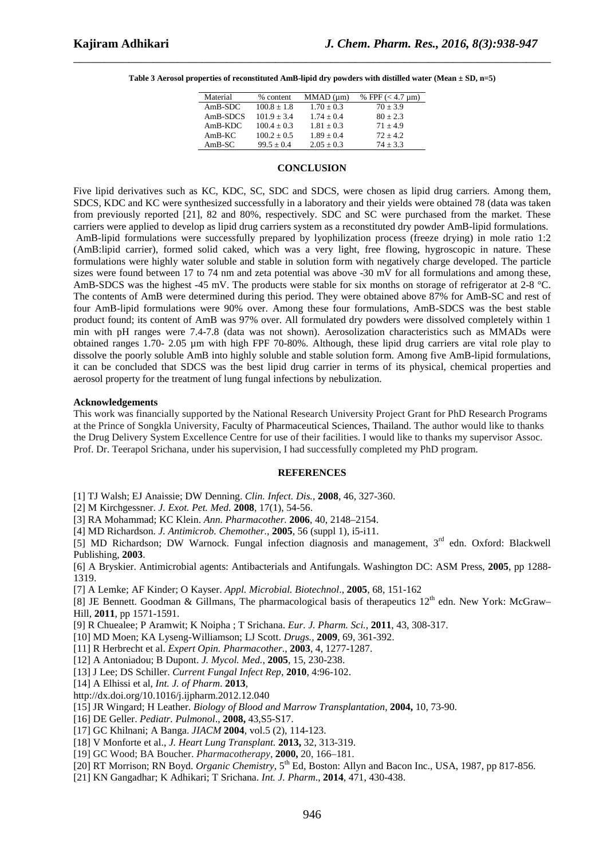| Material  | % content       | MMAD (µm)      | % FPF $(< 4.7 \,\mathrm{\upmu m})$ |
|-----------|-----------------|----------------|------------------------------------|
| $AmB-SDC$ | $100.8 + 1.8$   | $1.70 \pm 0.3$ | $70 + 3.9$                         |
| AmB-SDCS  | $101.9 + 3.4$   | $1.74 + 0.4$   | $80 + 2.3$                         |
| $AmB-KDC$ | $100.4 + 0.3$   | $1.81 + 0.3$   | $71 + 4.9$                         |
| $AmB-KC$  | $100.2 \pm 0.5$ | $1.89 \pm 0.4$ | $72 + 4.2$                         |
| $AmB-SC$  | $99.5 + 0.4$    | $2.05 \pm 0.3$ | $74 + 3.3$                         |
|           |                 |                |                                    |

#### **CONCLUSION**

Five lipid derivatives such as KC, KDC, SC, SDC and SDCS, were chosen as lipid drug carriers. Among them, SDCS, KDC and KC were synthesized successfully in a laboratory and their yields were obtained 78 (data was taken from previously reported [21], 82 and 80%, respectively. SDC and SC were purchased from the market. These carriers were applied to develop as lipid drug carriers system as a reconstituted dry powder AmB-lipid formulations. AmB-lipid formulations were successfully prepared by lyophilization process (freeze drying) in mole ratio 1:2 (AmB:lipid carrier), formed solid caked, which was a very light, free flowing, hygroscopic in nature. These formulations were highly water soluble and stable in solution form with negatively charge developed. The particle sizes were found between 17 to 74 nm and zeta potential was above -30 mV for all formulations and among these, AmB-SDCS was the highest -45 mV. The products were stable for six months on storage of refrigerator at 2-8 °C. The contents of AmB were determined during this period. They were obtained above 87% for AmB-SC and rest of four AmB-lipid formulations were 90% over. Among these four formulations, AmB-SDCS was the best stable product found; its content of AmB was 97% over. All formulated dry powders were dissolved completely within 1 min with pH ranges were 7.4-7.8 (data was not shown). Aerosolization characteristics such as MMADs were obtained ranges 1.70- 2.05 µm with high FPF 70-80%. Although, these lipid drug carriers are vital role play to dissolve the poorly soluble AmB into highly soluble and stable solution form. Among five AmB-lipid formulations, it can be concluded that SDCS was the best lipid drug carrier in terms of its physical, chemical properties and aerosol property for the treatment of lung fungal infections by nebulization.

#### **Acknowledgements**

This work was financially supported by the National Research University Project Grant for PhD Research Programs at the Prince of Songkla University, Faculty of Pharmaceutical Sciences, Thailand. The author would like to thanks the Drug Delivery System Excellence Centre for use of their facilities. I would like to thanks my supervisor Assoc. Prof. Dr. Teerapol Srichana, under his supervision, I had successfully completed my PhD program.

#### **REFERENCES**

[1] TJ Walsh; EJ Anaissie; DW Denning. *Clin. Infect. Dis.,* **2008**, 46, 327-360.

[2] M Kirchgessner. *J. Exot. Pet. Med.* **2008**, 17(1), 54-56.

[3] RA Mohammad; KC Klein. *Ann. Pharmacother.* **2006**, 40, 2148–2154.

[4] MD Richardson. *J. Antimicrob. Chemother.,* **2005**, 56 (suppl 1), i5-i11.

[5] MD Richardson; DW Warnock. Fungal infection diagnosis and management, 3<sup>rd</sup> edn. Oxford: Blackwell Publishing, **2003**.

[6] A Bryskier. Antimicrobial agents: Antibacterials and Antifungals. Washington DC: ASM Press, **2005**, pp 1288- 1319.

[7] A Lemke; AF Kinder; O Kayser. *Appl. Microbial. Biotechnol*., **2005**, 68, 151-162

[8] JE Bennett. Goodman & Gillmans, The pharmacological basis of therapeutics 12<sup>th</sup> edn. New York: McGraw– Hill, **2011**, pp 1571-1591.

[9] R Chuealee; P Aramwit; K Noipha ; T Srichana. *Eur. J. Pharm. Sci.,* **2011**, 43, 308-317.

[10] MD Moen; KA Lyseng-Williamson; LJ Scott. *Drugs.,* **2009**, 69, 361-392.

[11] R Herbrecht et al. *Expert Opin. Pharmacother*., **2003**, 4, 1277-1287.

[12] A Antoniadou; B Dupont. *J. Mycol. Med.*, **2005**, 15, 230-238.

[13] J Lee; DS Schiller. *Current Fungal Infect Rep*, **2010**, 4:96-102.

[14] A Elhissi et al*, Int. J. of Pharm*. **2013**,

http://dx.doi.org/10.1016/j.ijpharm.2012.12.040

[15] JR Wingard; H Leather. *Biology of Blood and Marrow Transplantation*, **2004,** 10, 73-90.

[16] DE Geller. *Pediatr. Pulmonol*., **2008,** 43,S5-S17.

[17] GC Khilnani; A Banga. *JIACM* **2004**, vol.5 (2), 114-123.

[18] V Monforte et al., *J. Heart Lung Transplant.* **2013,** 32, 313-319.

[19] GC Wood; BA Boucher. *Pharmacotherapy*, **2000,** 20, 166–181.

[20] RT Morrison; RN Boyd. *Organic Chemistry*, 5th Ed, Boston: Allyn and Bacon Inc., USA, 1987, pp 817-856.

[21] KN Gangadhar; K Adhikari; T Srichana. *Int. J. Pharm*., **2014**, 471, 430-438.